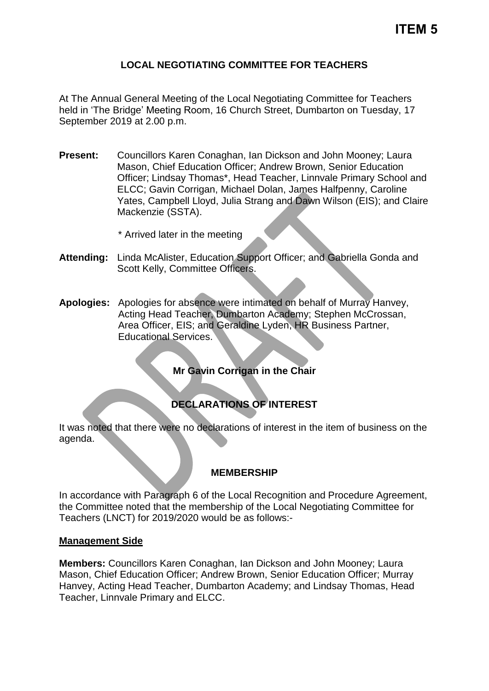### **LOCAL NEGOTIATING COMMITTEE FOR TEACHERS**

At The Annual General Meeting of the Local Negotiating Committee for Teachers held in 'The Bridge' Meeting Room, 16 Church Street, Dumbarton on Tuesday, 17 September 2019 at 2.00 p.m.

- **Present:** Councillors Karen Conaghan, Ian Dickson and John Mooney; Laura Mason, Chief Education Officer; Andrew Brown, Senior Education Officer; Lindsay Thomas\*, Head Teacher, Linnvale Primary School and ELCC; Gavin Corrigan, Michael Dolan, James Halfpenny, Caroline Yates, Campbell Lloyd, Julia Strang and Dawn Wilson (EIS); and Claire Mackenzie (SSTA).
	- \* Arrived later in the meeting
- **Attending:** Linda McAlister, Education Support Officer; and Gabriella Gonda and Scott Kelly, Committee Officers.
- **Apologies:** Apologies for absence were intimated on behalf of Murray Hanvey, Acting Head Teacher, Dumbarton Academy; Stephen McCrossan, Area Officer, EIS; and Geraldine Lyden, HR Business Partner, Educational Services.

**Mr Gavin Corrigan in the Chair** 

## **DECLARATIONS OF INTEREST**

It was noted that there were no declarations of interest in the item of business on the agenda.

#### **MEMBERSHIP**

In accordance with Paragraph 6 of the Local Recognition and Procedure Agreement, the Committee noted that the membership of the Local Negotiating Committee for Teachers (LNCT) for 2019/2020 would be as follows:-

#### **Management Side**

**Members:** Councillors Karen Conaghan, Ian Dickson and John Mooney; Laura Mason, Chief Education Officer; Andrew Brown, Senior Education Officer; Murray Hanvey, Acting Head Teacher, Dumbarton Academy; and Lindsay Thomas, Head Teacher, Linnvale Primary and ELCC.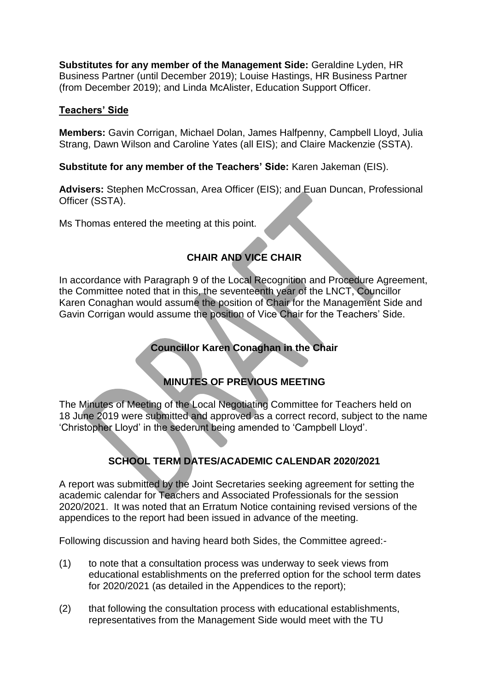**Substitutes for any member of the Management Side:** Geraldine Lyden, HR Business Partner (until December 2019); Louise Hastings, HR Business Partner (from December 2019); and Linda McAlister, Education Support Officer.

### **Teachers' Side**

**Members:** Gavin Corrigan, Michael Dolan, James Halfpenny, Campbell Lloyd, Julia Strang, Dawn Wilson and Caroline Yates (all EIS); and Claire Mackenzie (SSTA).

**Substitute for any member of the Teachers' Side:** Karen Jakeman (EIS).

**Advisers:** Stephen McCrossan, Area Officer (EIS); and Euan Duncan, Professional Officer (SSTA).

Ms Thomas entered the meeting at this point.

# **CHAIR AND VICE CHAIR**

In accordance with Paragraph 9 of the Local Recognition and Procedure Agreement, the Committee noted that in this, the seventeenth year of the LNCT, Councillor Karen Conaghan would assume the position of Chair for the Management Side and Gavin Corrigan would assume the position of Vice Chair for the Teachers' Side.

## **Councillor Karen Conaghan in the Chair**

## **MINUTES OF PREVIOUS MEETING**

The Minutes of Meeting of the Local Negotiating Committee for Teachers held on 18 June 2019 were submitted and approved as a correct record, subject to the name 'Christopher Lloyd' in the sederunt being amended to 'Campbell Lloyd'.

# **SCHOOL TERM DATES/ACADEMIC CALENDAR 2020/2021**

A report was submitted by the Joint Secretaries seeking agreement for setting the academic calendar for Teachers and Associated Professionals for the session 2020/2021. It was noted that an Erratum Notice containing revised versions of the appendices to the report had been issued in advance of the meeting.

Following discussion and having heard both Sides, the Committee agreed:-

- (1) to note that a consultation process was underway to seek views from educational establishments on the preferred option for the school term dates for 2020/2021 (as detailed in the Appendices to the report);
- (2) that following the consultation process with educational establishments, representatives from the Management Side would meet with the TU